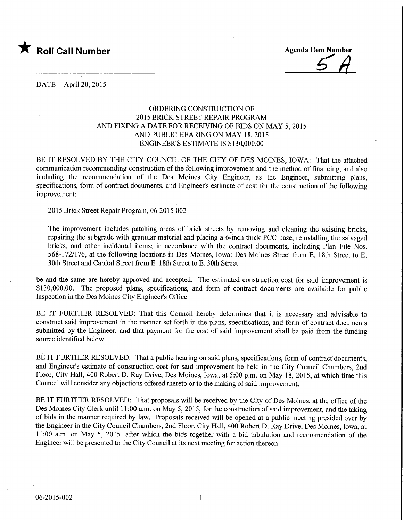

 $5A$ 

DATE April 20, 2015

## ORDERING CONSTRUCTION OF 2015 BRICK STREET REPAIR PROGRAM AND FIXING A DATE FOR RECEIVING OF BIDS ON MAY 5, 2015 AND PUBLIC HEARING ON MAY 18,2015 ENGINEER'S ESTIMATE IS \$130,000.00

BE IT RESOLVED BY THE CITY COUNCIL OF THE CITY OF DES MOINES, IOWA: That the attached communication recommending construction of the following improvement and the method of financing; and also including the recommendation of the Des Moines City Engineer, as the Engineer, submitting plans, specifications, form of contract documents, and Engineer's estimate of cost for the construction of the following improvement:

2015 Brick Street Repair Program, 06-2015-002

The improvement includes patching areas of brick streets by removing and cleaning the existing bricks, repairing the subgrade with granular material and placing a 6-inch thick PCC base, reinstalling the salvaged bricks, and other incidental items; in accordance with the contract documents, including Plan File Nos. 568-172/176, at the following locations in Des Moines, Iowa: Des Moines Street from E. 18th Street to E. 30th Street and Capital Street from E. 18th Street to E. 30th Street

be and the same are hereby approved and accepted. The estimated construction cost for said improvement is \$130,000.00. The proposed plans, specifications, and form of contract documents are available for public inspection in the Des Moines City Engineer's Office.

BE IT FURTHER RESOLVED: That this Council hereby determines that it is necessary and advisable to construct said improvement in the manner set forth in the plans, specifications, and form of contract documents submitted by the Engineer; and that payment for the cost of said improvement shall be paid from the funding source identified below.

BE IT FURTHER RESOLVED: That a public hearing on said plans, specifications, form of contract documents, and Engineer's estimate of construction cost for said improvement be held in the City Council Chambers, 2nd Floor, City Hall, 400 Robert D. Ray Drive, Des Moines, Iowa, at 5:00 p.m. on May 18, 2015, at which time this Council will consider any objections offered thereto or to the making of said improvement.

BE IT FURTHER RESOLVED: That proposals will be received by the City of Des Moines, at the office of the Des Moines City Clerk until 11:00 a.m. on May 5, 2015, for the construction of said improvement, and the taking of bids in the manner required by law. Proposals received will be opened at a public meeting presided over by the Engineer in the City Council Chambers, 2nd Floor, City Hall, 400 Robert D. Ray Drive, Des Moines, Iowa, at 11:00 a.m. on May 5, 2015, after which the bids together with a bid tabulation and recommendation of the Engineer will be presented to the City Council at its next meeting for action thereon.

 $\mathbf{1}$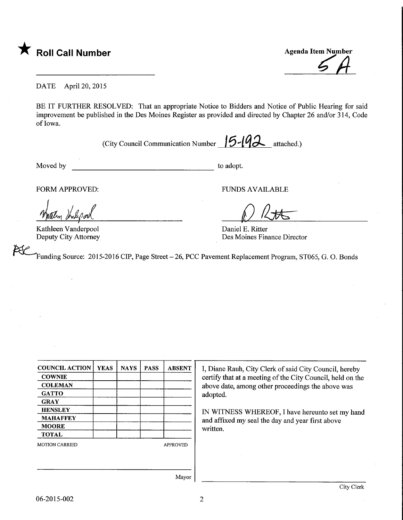

**Agenda Item Number** 

DATE April 20, 2015

BE IT FURTHER RESOLVED: That an appropriate Notice to Bidders and Notice of Public Hearing for said improvement be published in the Des Moines Register as provided and directed by Chapter 26 and/or 314, Code of Iowa.

(City Council Communication Number  $\| 5 - 19 \lambda \}$  attached.)

Moved by to adopt.

FORM APPROVED: FUNDS AVAILABLE

 $2\pi$ 

Kathleen Vanderpool Deputy City Attorney

Daniel E. Ritter Des Moines Finance Director

Funding Source: 2015-2016 CIP, Page Street - 26, PCC Pavement Replacement Program, ST065, G. O. Bonds

COUNCIL ACTION **COWNIE COLEMAN GATTO GRAY HENSLEY** MAHAFFEY MOORE TOTAL YEAS | NAYS | PASS | ABSENT MOTION CARRIED APPROVED

I, Diane Rauh, City Clerk of said City Council, hereby certify that at a meeting of the City Council, held on the above date, among other proceedings the above was adopted.

IN WITNESS WHEREOF, I have hereunto set my hand and affixed my seal the day and year first above written.

Mayor